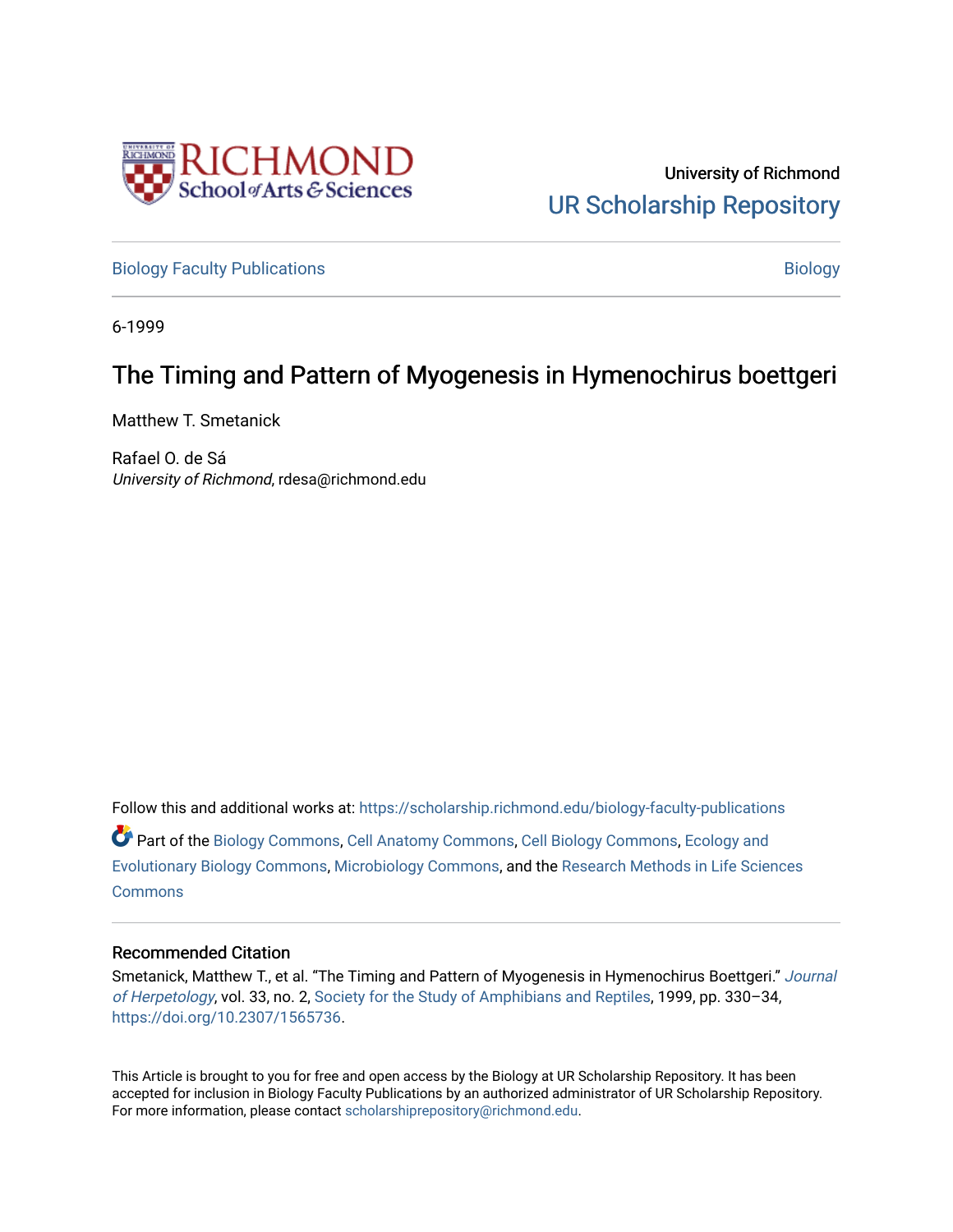

University of Richmond [UR Scholarship Repository](https://scholarship.richmond.edu/) 

[Biology Faculty Publications](https://scholarship.richmond.edu/biology-faculty-publications) and the state of the state of the [Biology](https://scholarship.richmond.edu/biology) Biology

6-1999

# The Timing and Pattern of Myogenesis in Hymenochirus boettgeri

Matthew T. Smetanick

Rafael O. de Sá University of Richmond, rdesa@richmond.edu

Follow this and additional works at: [https://scholarship.richmond.edu/biology-faculty-publications](https://scholarship.richmond.edu/biology-faculty-publications?utm_source=scholarship.richmond.edu%2Fbiology-faculty-publications%2F278&utm_medium=PDF&utm_campaign=PDFCoverPages)  Part of the [Biology Commons,](http://network.bepress.com/hgg/discipline/41?utm_source=scholarship.richmond.edu%2Fbiology-faculty-publications%2F278&utm_medium=PDF&utm_campaign=PDFCoverPages) [Cell Anatomy Commons,](http://network.bepress.com/hgg/discipline/9?utm_source=scholarship.richmond.edu%2Fbiology-faculty-publications%2F278&utm_medium=PDF&utm_campaign=PDFCoverPages) [Cell Biology Commons,](http://network.bepress.com/hgg/discipline/10?utm_source=scholarship.richmond.edu%2Fbiology-faculty-publications%2F278&utm_medium=PDF&utm_campaign=PDFCoverPages) [Ecology and](http://network.bepress.com/hgg/discipline/14?utm_source=scholarship.richmond.edu%2Fbiology-faculty-publications%2F278&utm_medium=PDF&utm_campaign=PDFCoverPages) [Evolutionary Biology Commons](http://network.bepress.com/hgg/discipline/14?utm_source=scholarship.richmond.edu%2Fbiology-faculty-publications%2F278&utm_medium=PDF&utm_campaign=PDFCoverPages), [Microbiology Commons](http://network.bepress.com/hgg/discipline/48?utm_source=scholarship.richmond.edu%2Fbiology-faculty-publications%2F278&utm_medium=PDF&utm_campaign=PDFCoverPages), and the [Research Methods in Life Sciences](http://network.bepress.com/hgg/discipline/1385?utm_source=scholarship.richmond.edu%2Fbiology-faculty-publications%2F278&utm_medium=PDF&utm_campaign=PDFCoverPages) **[Commons](http://network.bepress.com/hgg/discipline/1385?utm_source=scholarship.richmond.edu%2Fbiology-faculty-publications%2F278&utm_medium=PDF&utm_campaign=PDFCoverPages)** 

# Recommended Citation

Smetanick, Matthew T., et al. "The Timing and Pattern of Myogenesis in Hymenochirus Boettgeri." [Journal](https://www.jstor.org/journal/jherpetology)  [of Herpetology](https://www.jstor.org/journal/jherpetology), vol. 33, no. 2, [Society for the Study of Amphibians and Reptiles](https://www.jstor.org/publisher/ssar), 1999, pp. 330–34, <https://doi.org/10.2307/1565736>.

This Article is brought to you for free and open access by the Biology at UR Scholarship Repository. It has been accepted for inclusion in Biology Faculty Publications by an authorized administrator of UR Scholarship Repository. For more information, please contact [scholarshiprepository@richmond.edu](mailto:scholarshiprepository@richmond.edu).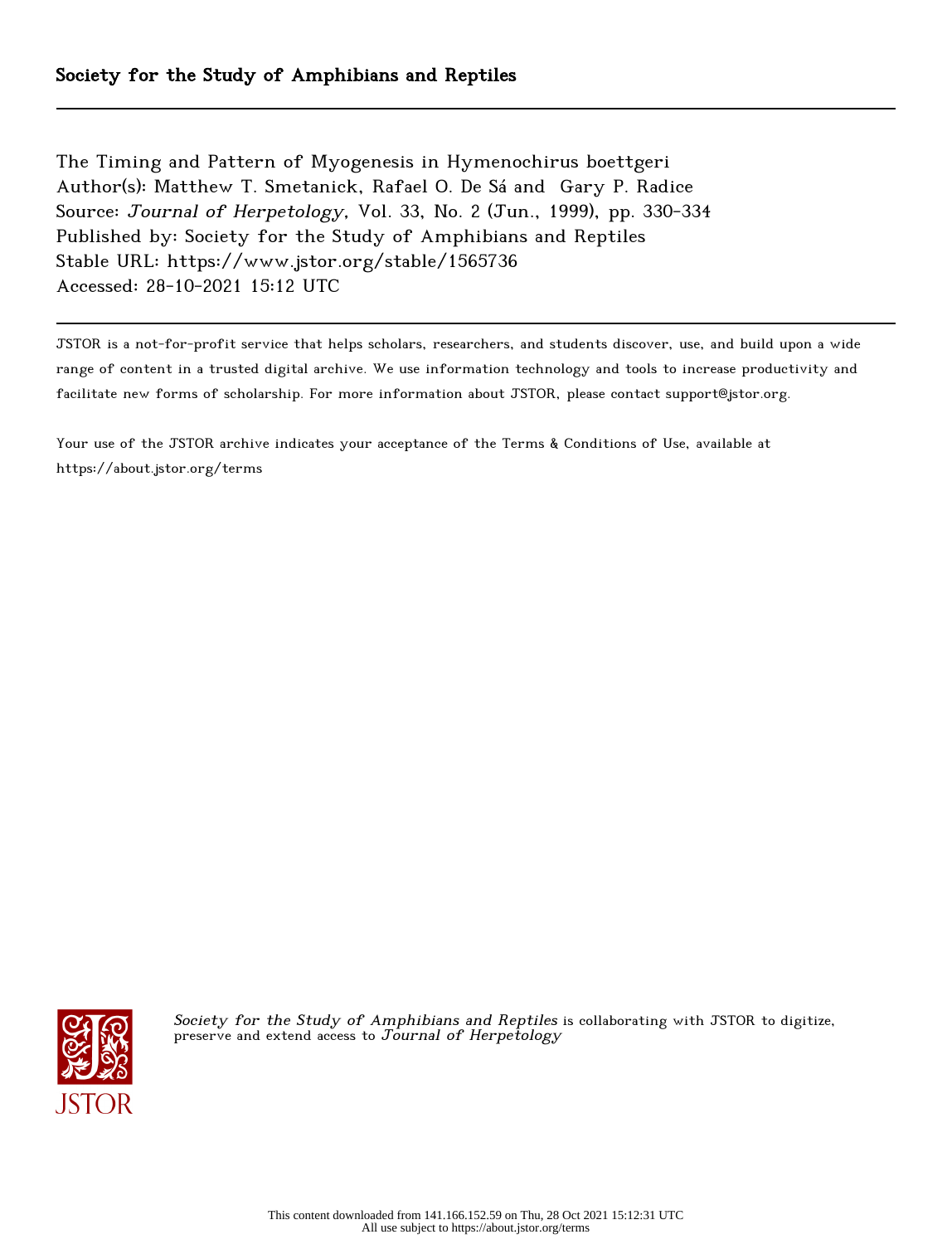The Timing and Pattern of Myogenesis in Hymenochirus boettgeri Author(s): Matthew T. Smetanick, Rafael O. De Sá and Gary P. Radice Source: Journal of Herpetology, Vol. 33, No. 2 (Jun., 1999), pp. 330-334 Published by: Society for the Study of Amphibians and Reptiles Stable URL: https://www.jstor.org/stable/1565736 Accessed: 28-10-2021 15:12 UTC

JSTOR is a not-for-profit service that helps scholars, researchers, and students discover, use, and build upon a wide range of content in a trusted digital archive. We use information technology and tools to increase productivity and facilitate new forms of scholarship. For more information about JSTOR, please contact support@jstor.org.

Your use of the JSTOR archive indicates your acceptance of the Terms & Conditions of Use, available at https://about.jstor.org/terms



Society for the Study of Amphibians and Reptiles is collaborating with JSTOR to digitize, preserve and extend access to  $J$ ournal of Herpetology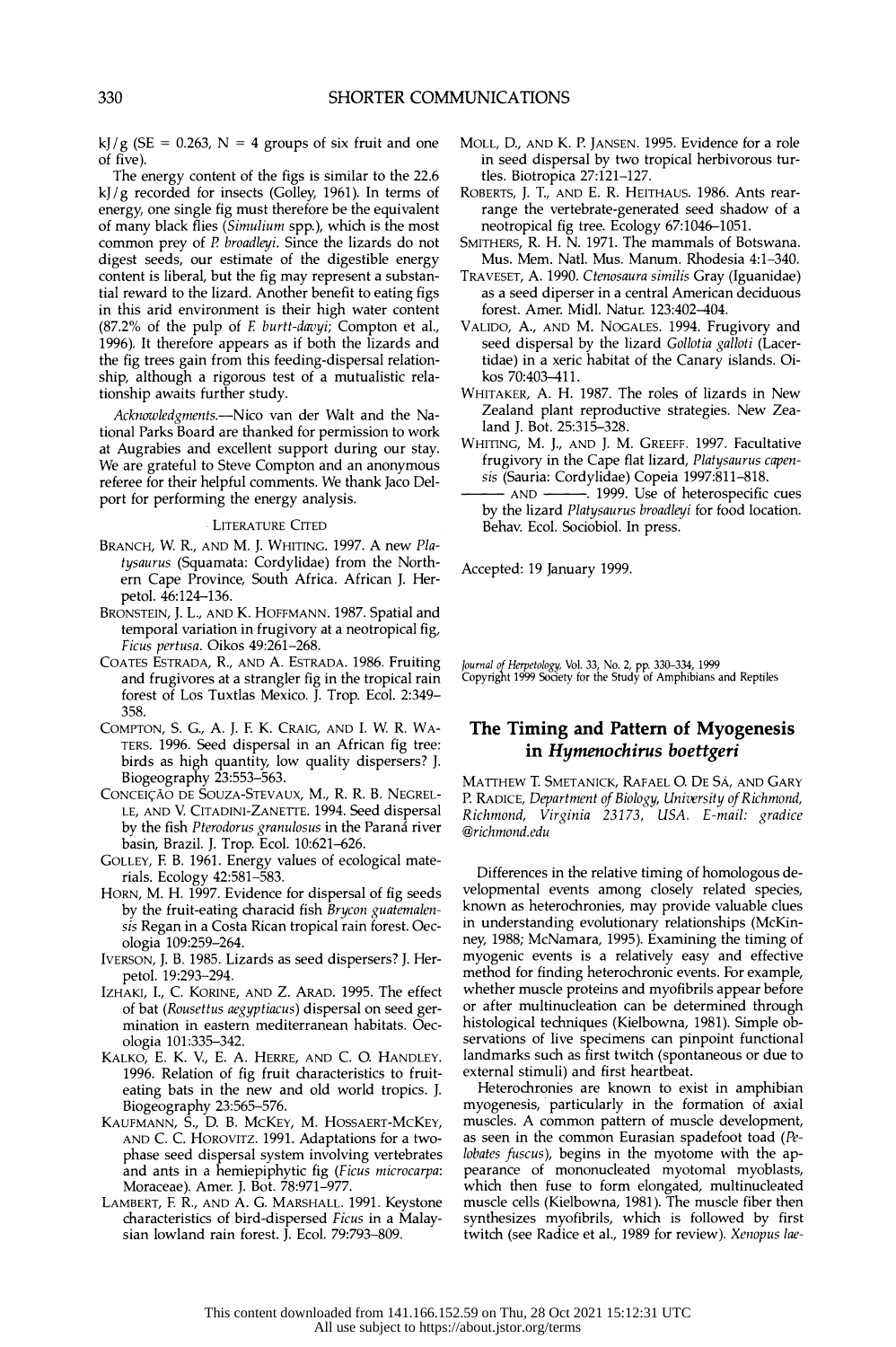kJ/g (SE = 0.263, N = 4 groups of six fruit and one MOLL, D., A of five).

 The energy content of the figs is similar to the 22.6 kJ/g recorded for insects (Golley, 1961). In terms of energy, one single fig must therefore be the equivalent of many black flies (Simulium spp.), which is the most common prey of P broadleyi. Since the lizards do not digest seeds, our estimate of the digestible energy content is liberal, but the fig may represent a substan tial reward to the lizard. Another benefit to eating figs in this arid environment is their high water content (87.2% of the pulp of E burtt-davyi; Compton et al., 1996). It therefore appears as if both the lizards and the fig trees gain from this feeding-dispersal relation ship, although a rigorous test of a mutualistic rela tionship awaits further study.

Acknowledgments.--Nico van der Walt and the Na tional Parks Board are thanked for permission to work at Augrabies and excellent support during our stay. We are grateful to Steve Compton and an anonymous referee for their helpful comments. We thank Jaco Del port for performing the energy analysis.

### **LITERATURE CITED**

- BRANCH, W. R., AND M. J. WHITING. 1997. A new Pla tysaurus (Squamata: Cordylidae) from the North ern Cape Province, South Africa. African J. Her petol. 46:124-136.
- BRONSTEIN, J. L., AND K. HOFFMANN. 1987. Spatial and temporal variation in frugivory at a neotropical fig, Ficus pertusa. Oikos 49:261-268.
- COATES ESTRADA, R., AND A. ESTRADA. 1986. Fruiting and frugivores at a strangler fig in the tropical rain forest of Los Tuxtlas Mexico. J. Trop. Ecol. 2:349- 358.
- COMPTON, S. G., A. J. F K. CRAIG, AND I. W. R. WA- TERS. 1996. Seed dispersal in an African fig tree: birds as high quantity, low quality dispersers? J. Biogeography 23:553-563.
- CONCEICAO DE SOUZA-STEVAUX, M., R. R. B. NEGREL- LE, AND V. CITADINI-ZANETTE. 1994. Seed dispersal by the fish Pterodorus granulosus in the Paraná river basin, Brazil. J. Trop. Ecol. 10:621-626.
- GOLLEY, F B. 1961. Energy values of ecological mate rials. Ecology 42:581-583.
- HORN, M. H. 1997. Evidence for dispersal of fig seeds by the fruit-eating characid fish Brycon guatemalen sis Regan in a Costa Rican tropical rain forest. Oec ologia 109:259-264.
- IVERSON, J. B. 1985. Lizards as seed dispersers? J. Her petol. 19:293-294.
- IZHAKI, I., C. KORINE, AND Z. ARAD. 1995. The effect of bat (Rousettus aegyptiacus) dispersal on seed ger mination in eastern mediterranean habitats. Oec ologia 101:335-342.
- KALKO, E. K. V., E. A. HERRE, AND C. O. HANDLEY. 1996. Relation of fig fruit characteristics to fruit eating bats in the new and old world tropics. J.
- Biogeography 23:565-576. KAUFMANN, S., D. B. McKEY, M. HOSSAERT-MCKEY, AND C. C. HOROVITZ. 1991. Adaptations for a two phase seed dispersal system involving vertebrates and ants in a hemiepiphytic fig (Ficus microcarpa: Moraceae). Amer. J. Bot. 78:971-977.
- LAMBERT, F. R., AND A. G. MARSHALL. 1991. Keystone characteristics of bird-dispersed Ficus in a Malay sian lowland rain forest. J. Ecol. 79:793-809.
- MOLL, D., AND K. P. JANSEN. 1995. Evidence for a role MOLL, D., AND K. P. JANSEN. 1995. Evidence for a role in seed dispersal by two tropical herbivorous tur- in seed dispersal by two tropical herbivorous tur tles. Biotropica 27:121-127. Biotropica 27:121-127.
- ROBERTS, J. T., AND E. R. HEITHAUS. 1986. Ants rear- ROBERTS, J. T., AND E. R. HEITHAUS. 1986. Ants rear range the vertebrate-generated seed shadow of a neotropical fig tree. Ecology 67:1046-1051. neotropical fig tree. Ecology 67:1046-1051.
- SMITHERS, R. H. N. 1971. The mammals of Botswana. SMITHERS, R. H. N. 1971. The mammals of Botswana. Mus. Mem. Natl. Mus. Manum. Rhodesia 4:1-340.
- TRAVESET, A. 1990. Ctenosaura similis Gray (Iguanidae) as a seed diperser in a central American deciduous forest. Amer. Midi. Natur. 123:402-404.
- VALIDO, A., AND M. NOGALES. 1994. Frugivory and seed dispersal by the lizard Gollotia galloti (Lacer tidae) in a xeric habitat of the Canary islands. Oi kos 70:403-411.
- WHITAKER, A. H. 1987. The roles of lizards in New Zealand plant reproductive strategies. New Zea land J. Bot. 25:315-328.
- WHITING, M. J., AND J. M. GREEFF. 1997. Facultative frugivory in the Cape flat lizard, Platysaurus capen sis (Sauria: Cordylidae) Copeia 1997:811-818.<br>- AND - 1999. Use of heterospecific
	- -. 1999. Use of heterospecific cues by the lizard Platysaurus broadleyi for food location. Behav. Ecol. Sociobiol. In press.

Accepted: 19 January 1999.

Journal of Herpetology, Vol. 33, No. 2, pp. 330-334, 1999 Copyright 1999 Society for the Study of Amphibians and Reptiles

## The Timing and Pattern of Myogenesis in Hymenochirus boettgeri

 MATTHEW T. SMETANICK, RAFAEL O. DE SA, AND GARY P. RADICE, Department of Biology, University of Richmond, Richmond, Virginia 23173, USA. E-mail: gradice @richmond.edu

 Differences in the relative timing of homologous de velopmental events among closely related species, known as heterochronies, may provide valuable clues in understanding evolutionary relationships (McKin ney, 1988; McNamara, 1995). Examining the timing of myogenic events is a relatively easy and effective method for finding heterochronic events. For example, whether muscle proteins and myofibrils appear before or after multinucleation can be determined through histological techniques (Kielbowna, 1981). Simple ob servations of live specimens can pinpoint functional landmarks such as first twitch (spontaneous or due to external stimuli) and first heartbeat.

 Heterochronies are known to exist in amphibian myogenesis, particularly in the formation of axial muscles. A common pattern of muscle development, as seen in the common Eurasian spadefoot toad (Pe lobates fuscus), begins in the myotome with the ap pearance of mononucleated myotomal myoblasts, which then fuse to form elongated, multinucleated muscle cells (Kielbowna, 1981). The muscle fiber then synthesizes myofibrils, which is followed by first twitch (see Radice et al., 1989 for review). Xenopus lae-

This content downloaded from 141.166.152.59 on Thu, 28 Oct 2021 15:12:31 UTC All use subject to https://about.jstor.org/terms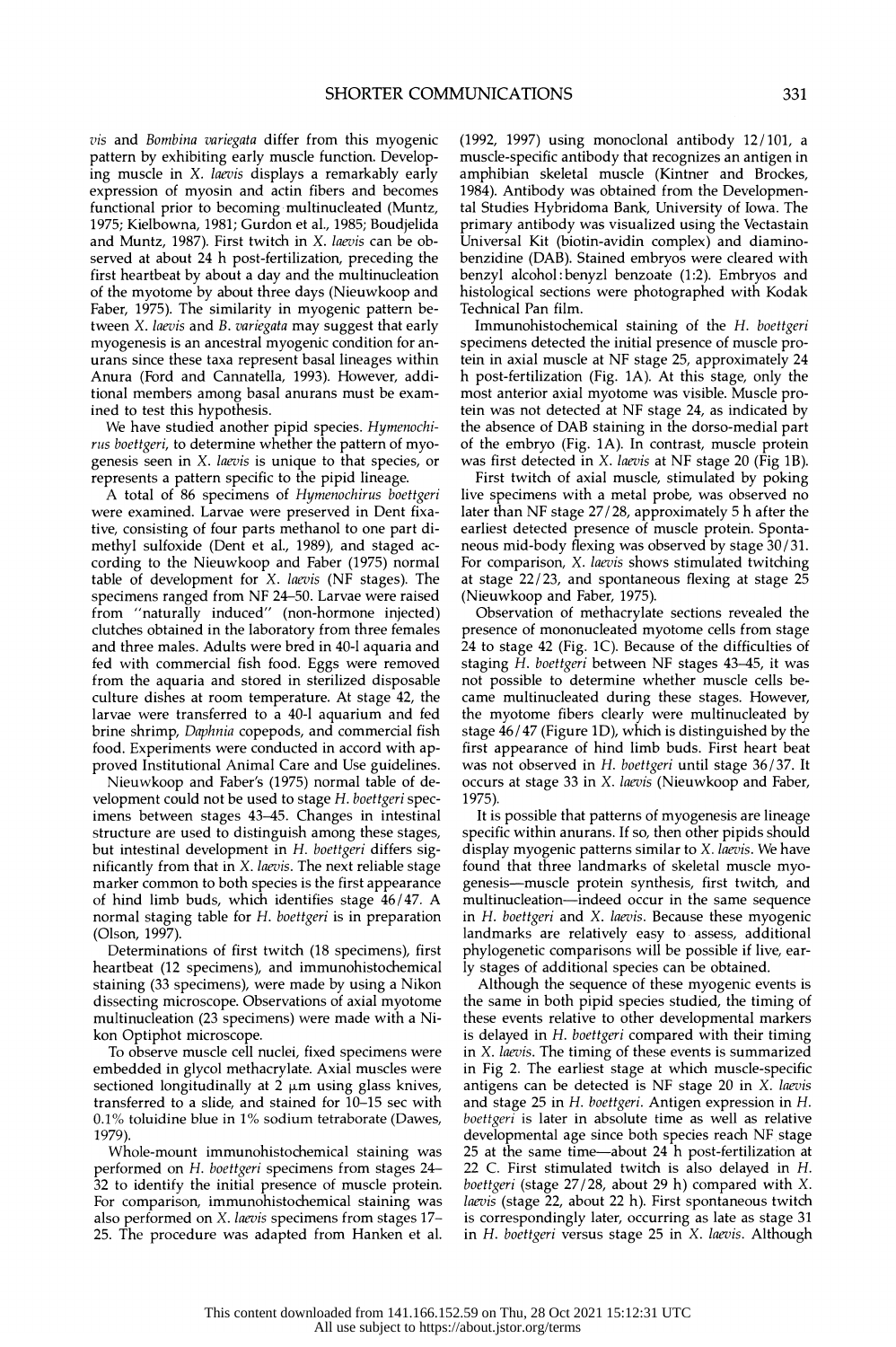vis and Bombina variegata differ from this myogenic pattern by exhibiting early muscle function. Develop ing muscle in X. laevis displays a remarkably early expression of myosin and actin fibers and becomes functional prior to becoming multinucleated (Muntz, 1975; Kielbowna, 1981; Gurdon et al., 1985; Boudjelida and Muntz, 1987). First twitch in X. laevis can be ob served at about 24 h post-fertilization, preceding the first heartbeat by about a day and the multinucleation of the myotome by about three days (Nieuwkoop and Faber, 1975). The similarity in myogenic pattern be tween X. laevis and B. variegata may suggest that early myogenesis is an ancestral myogenic condition for an urans since these taxa represent basal lineages within Anura (Ford and Cannatella, 1993). However, addi tional members among basal anurans must be exam ined to test this hypothesis.

 We have studied another pipid species. Hymenochi rus boettgeri, to determine whether the pattern of myo genesis seen in X. laevis is unique to that species, or represents a pattern specific to the pipid lineage.

 A total of 86 specimens of Hymenochirus boettgeri were examined. Larvae were preserved in Dent fixa tive, consisting of four parts methanol to one part di methyl sulfoxide (Dent et al., 1989), and staged ac cording to the Nieuwkoop and Faber (1975) normal table of development for X. laevis (NF stages). The specimens ranged from NF 24-50. Larvae were raised from "naturally induced" (non-hormone injected) clutches obtained in the laboratory from three females and three males. Adults were bred in 40-1 aquaria and fed with commercial fish food. Eggs were removed from the aquaria and stored in sterilized disposable culture dishes at room temperature. At stage 42, the larvae were transferred to a 40-1 aquarium and fed brine shrimp, Daphnia copepods, and commercial fish food. Experiments were conducted in accord with ap proved Institutional Animal Care and Use guidelines.

 Nieuwkoop and Faber's (1975) normal table of de velopment could not be used to stage H. boettgeri spec imens between stages 43-45. Changes in intestinal structure are used to distinguish among these stages, but intestinal development in H. boettgeri differs significantly from that in X. laevis. The next reliable stage marker common to both species is the first appearance of hind limb buds, which identifies stage 46/47. A normal staging table for H. boettgeri is in preparation (Olson, 1997).

 Determinations of first twitch (18 specimens), first heartbeat (12 specimens), and immunohistochemical staining (33 specimens), were made by using a Nikon dissecting microscope. Observations of axial myotome multinucleation (23 specimens) were made with a Ni kon Optiphot microscope.

 To observe muscle cell nuclei, fixed specimens were embedded in glycol methacrylate. Axial muscles were sectioned longitudinally at  $2 \mu m$  using glass knives, transferred to a slide, and stained for 10-15 sec with 0.1% toluidine blue in 1% sodium tetraborate (Dawes, 1979).

 Whole-mount immunohistochemical staining was performed on H. boettgeri specimens from stages 24- 32 to identify the initial presence of muscle protein. For comparison, immunohistochemical staining was also performed on X. laevis specimens from stages 17- 25. The procedure was adapted from Hanken et al.  (1992, 1997) using monoclonal antibody 12/101, a muscle-specific antibody that recognizes an antigen in amphibian skeletal muscle (Kintner and Brockes, 1984). Antibody was obtained from the Developmen tal Studies Hybridoma Bank, University of Iowa. The primary antibody was visualized using the Vectastain Universal Kit (biotin-avidin complex) and diamino benzidine (DAB). Stained embryos were cleared with benzyl alcohol: benyzl benzoate (1:2). Embryos and histological sections were photographed with Kodak Technical Pan film.

 Immunohistochemical staining of the H. boettgeri specimens detected the initial presence of muscle pro tein in axial muscle at NF stage 25, approximately 24 h post-fertilization (Fig. 1A). At this stage, only the most anterior axial myotome was visible. Muscle pro tein was not detected at NF stage 24, as indicated by the absence of DAB staining in the dorso-medial part of the embryo (Fig. 1A). In contrast, muscle protein was first detected in X. laevis at NF stage 20 (Fig 1B).

 First twitch of axial muscle, stimulated by poking live specimens with a metal probe, was observed no later than NF stage 27/28, approximately 5 h after the earliest detected presence of muscle protein. Sponta neous mid-body flexing was observed by stage 30/31. For comparison, X. laevis shows stimulated twitching at stage 22/23, and spontaneous flexing at stage 25 (Nieuwkoop and Faber, 1975).

 Observation of methacrylate sections revealed the presence of mononucleated myotome cells from stage 24 to stage 42 (Fig. 1C). Because of the difficulties of staging H. boettgeri between NF stages 43-45, it was not possible to determine whether muscle cells be came multinucleated during these stages. However, the myotome fibers clearly were multinucleated by stage 46/47 (Figure 1D), which is distinguished by the first appearance of hind limb buds. First heart beat was not observed in H. boettgeri until stage 36/37. It occurs at stage 33 in X. laevis (Nieuwkoop and Faber, 1975).

 It is possible that patterns of myogenesis are lineage specific within anurans. If so, then other pipids should display myogenic patterns similar to X. laevis. We have found that three landmarks of skeletal muscle myo genesis-muscle protein synthesis, first twitch, and multinucleation-indeed occur in the same sequence in H. boettgeri and X. laevis. Because these myogenic landmarks are relatively easy to assess, additional phylogenetic comparisons will be possible if live, ear ly stages of additional species can be obtained.

 Although the sequence of these myogenic events is the same in both pipid species studied, the timing of these events relative to other developmental markers is delayed in H. boettgeri compared with their timing in *X. laevis*. The timing of these events is summarized in Fig 2. The earliest stage at which muscle-specific antigens can be detected is NF stage 20 in X. laevis and stage 25 in H. boettgeri. Antigen expression in H. boettgeri is later in absolute time as well as relative developmental age since both species reach NF stage 25 at the same time—about 24 h post-fertilization at 22 C. First stimulated twitch is also delayed in H. boettgeri (stage 27/28, about 29 h) compared with X. laevis (stage 22, about 22 h). First spontaneous twitch is correspondingly later, occurring as late as stage 31 in H. boettgeri versus stage 25 in X. laevis. Although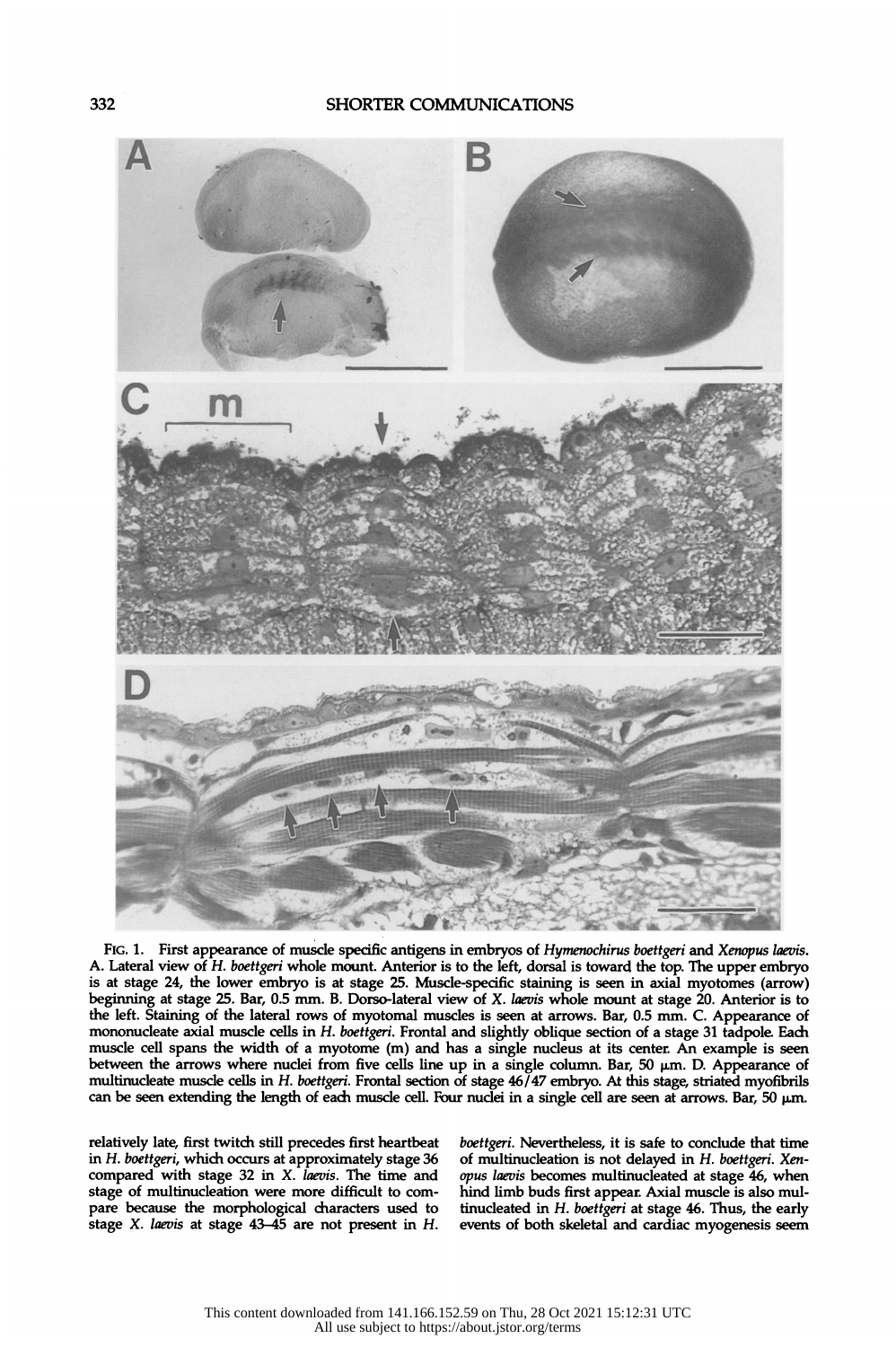

FIG. 1. First appearance of muscle specific antigens in embryos of Hymenochirus boettgeri and Xenopus laevis. A. Lateral view of H. boettgeri whole mount. Anterior is to the left, dorsal is toward the top. The upper embryo is at stage 24, the lower embryo is at stage 25. Muscle-specific staining is seen in axial myotomes (arrow) beginning at stage 25. Bar, 0.5 mm. B. Dorso-lateral view of X. laevis whole mount at stage 20. Anterior is to the left. Staining of the lateral rows of myotomal muscles is seen at arrows. Bar, 0.5 mm. C. Appearance of mononucleate axial muscle cells in H. boettgeri. Frontal and slightly oblique section of a stage 31 tadpole. Each muscle cell spans the width of a myotome (m) and has a single nucleus at its center. An example is seen between the arrows where nuclei from five cells line up in a single column. Bar, 50  $\mu$ m. D. Appearance of multinucleate muscle cells in H. boettgeri. Frontal section of stage  $46/47$  embryo. At this stage, striated myofibrils can be seen extending the length of each muscle cell. Four nuclei in a single cell are seen at arrows. Bar,  $50 \mu m$ .

relatively late, first twitch still precedes first heartbeat boettgeri. Nevertheless, it is safe to conclude that time<br>in H. boettgeri, which occurs at approximately stage 36 of multinucleation is not delayed in H. boettge stage X. laevis at stage  $43-45$  are not present in  $H$ .

in H. boettgeri, which occurs at approximately stage 36 of multinucleation is not delayed in H. boettgeri. Xen-<br>compared with stage 32 in X. laevis. The time and opus laevis becomes multinucleated at stage 46, when in 11. overigent, which occurs at approximately stage 30 or multimucleation is not delayed in  $\hat{H}$ . locatingent.  $\hat{H}$  are  $\hat{H}$  and  $\hat{H}$  are  $\hat{H}$  and  $\hat{H}$  are  $\hat{H}$  and  $\hat{H}$  are  $\hat{H}$  and  $\hat{H}$  a stage of multinucleation were more difficult to com-<br>
pare because the morphological characters used to tinucleated in *H. boettgeri* at stage 46. Thus, the early tinucleated in  $H$ . boettgeri at stage 46. Thus, the early events of both skeletal and cardiac myogenesis seem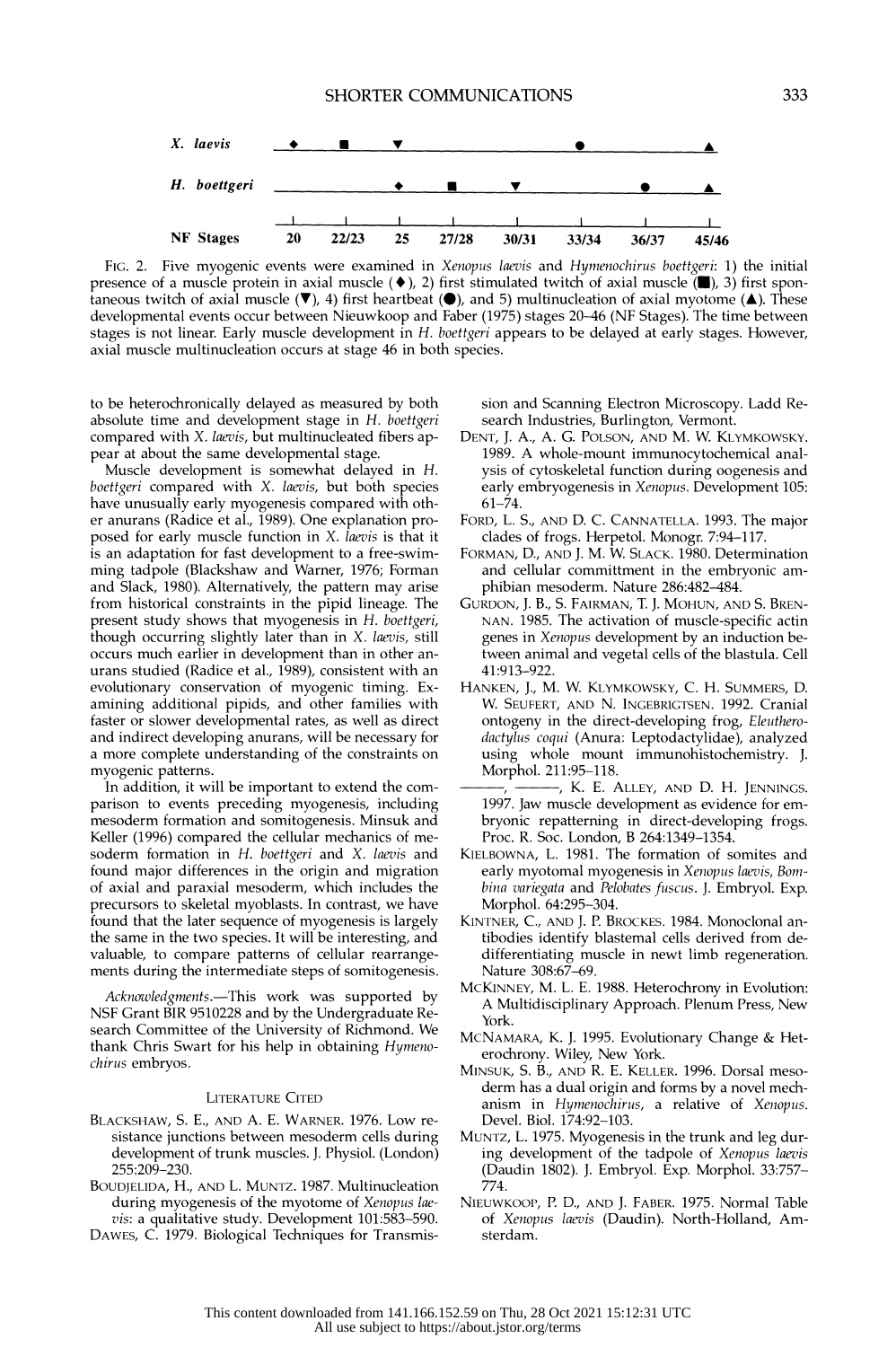

FIG. 2. Five myogenic events were examined in Xenopus laevis and Hymenochirus boettgeri: 1) the initial presence of a muscle protein in axial muscle ( $\blacklozenge$ ), 2) first stimulated twitch of axial muscle ( $\blacktriangleright$ ), 3) first spontaneous twitch of axial muscle  $(\blacktriangledown)$ , 4) first heartbeat  $(\blacktriangle)$ , and 5) multinucleation of axial myotome ( $\blacktriangle$ ). These developmental events occur between Nieuwkoop and Faber (1975) stages 20-46 (NF Stages). The time between stages is not linear. Early muscle development in H. boettgeri appears to be delayed at early stages. However, axial muscle multinucleation occurs at stage 46 in both species.

 to be heterochronically delayed as measured by both absolute time and development stage in H. boettgeri compared with X. laevis, but multinucleated fibers appear at about the same developmental stage.

 Muscle development is somewhat delayed in H. boettgeri compared with X. laevis, but both species have unusually early myogenesis compared with oth er anurans (Radice et al., 1989). One explanation pro posed for early muscle function in X. laevis is that it is an adaptation for fast development to a free-swim ming tadpole (Blackshaw and Warner, 1976; Forman and Slack, 1980). Alternatively, the pattern may arise from historical constraints in the pipid lineage. The present study shows that myogenesis in H. boettgeri, though occurring slightly later than in X. laevis, still occurs much earlier in development than in other an urans studied (Radice et al., 1989), consistent with an evolutionary conservation of myogenic timing. Ex amining additional pipids, and other families with faster or slower developmental rates, as well as direct and indirect developing anurans, will be necessary for a more complete understanding of the constraints on myogenic patterns.

 In addition, it will be important to extend the com parison to events preceding myogenesis, including mesoderm formation and somitogenesis. Minsuk and Keller (1996) compared the cellular mechanics of me soderm formation in H. boettgeri and X. laevis and found major differences in the origin and migration of axial and paraxial mesoderm, which includes the precursors to skeletal myoblasts. In contrast, we have found that the later sequence of myogenesis is largely the same in the two species. It will be interesting, and valuable, to compare patterns of cellular rearrange ments during the intermediate steps of somitogenesis.

Acknowledgments.-This work was supported by NSF Grant BIR 9510228 and by the Undergraduate Re search Committee of the University of Richmond. We thank Chris Swart for his help in obtaining Hymenochirus embryos.

#### LITERATURE CITED

- BLACKSHAW, S. E., AND A. E. WARNER. 1976. Low re sistance junctions between mesoderm cells during development of trunk muscles. J. Physiol. (London) 255:209-230.
- BOUDJELIDA, H., AND L. MUNTZ. 1987. Multinucleation during myogenesis of the myotome of Xenopus lae vis: a qualitative study. Development 101:583-590.
- DAWES, C. 1979. Biological Techniques for Transmis-

 sion and Scanning Electron Microscopy. Ladd Re search Industries, Burlington, Vermont.

- DENT, J. A., A. G. POLSON, AND M. W. KLYMKOWSKY. 1989. A whole-mount immunocytochemical anal ysis of cytoskeletal function during oogenesis and early embryogenesis in Xenopus. Development 105: 61-74.
- FORD, L. S., AND D. C. CANNATELLA. 1993. The major clades of frogs. Herpetol. Monogr. 7:94-117.
- FORMAN, D., AND J. M. W. SLACK. 1980. Determination and cellular committment in the embryonic am phibian mesoderm. Nature 286:482-484.
- GURDON, J. B., S. FAIRMAN, T. J. MOHUN, AND S. BREN- NAN. 1985. The activation of muscle-specific actin genes in Xenopus development by an induction be tween animal and vegetal cells of the blastula. Cell 41:913-922.
- HANKEN, J., M. W. KLYMKOWSKY, C. H. SUMMERS, D. W. SEUFERT, AND N. INGEBRIGTSEN. 1992. Cranial ontogeny in the direct-developing frog, Eleuthero dactylus coqui (Anura: Leptodactylidae), analyzed using whole mount immunohistochemistry. J. Morphol. 211:95-118.
- , K. E. ALLEY, AND D. H. JENNINGS. 1997. Jaw muscle development as evidence for em bryonic repatterning in direct-developing frogs. Proc. R. Soc. London, B 264:1349-1354.
- KIELBOWNA, L. 1981. The formation of somites and early myotomal myogenesis in Xenopus laevis, Bom bina variegata and Pelobates fuscus. J. Embryol. Exp. Morphol. 64:295-304.
- KINTNER, C., AND J. P. BROCKES. 1984. Monoclonal an tibodies identify blastemal cells derived from de differentiating muscle in newt limb regeneration. Nature 308:67-69.
- MCKINNEY, M. L. E. 1988. Heterochrony in Evolution: A Multidisciplinary Approach. Plenum Press, New York.
- MCNAMARA, K. J. 1995. Evolutionary Change & Het erochrony. Wiley, New York.
- MINSUK, S. B., AND R. E. KELLER. 1996. Dorsal meso derm has a dual origin and forms by a novel mech anism in Hymenochirus, a relative of Xenopus. Devel. Biol. 174:92-103.
- MUNTZ, L. 1975. Myogenesis in the trunk and leg dur ing development of the tadpole of Xenopus laevis (Daudin 1802). J. Embryol. Exp. Morphol. 33:757- 774.
- NIEUWKOOP, P. D., AND J. FABER. 1975. Normal Table of Xenopus laevis (Daudin). North-Holland, Am sterdam.